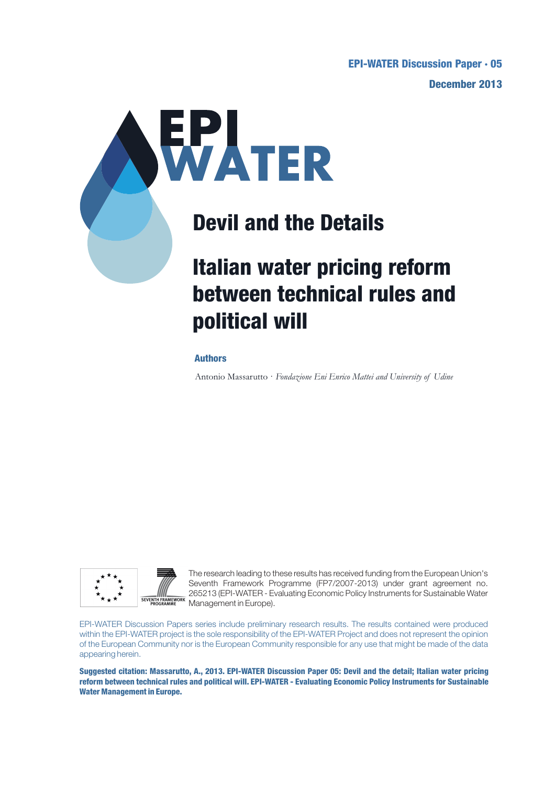**December 2013 EPI-WATER Discussion Paper · 05**



## **Devil and the Details**

# **Italian water pricing reform between technical rules and political will**

#### **Authors**

Antonio Massarutto · *Fondazione Eni Enrico Mattei and University of Udine*



The research leading to these results has received funding from the European Union's Seventh Framework Programme (FP7/2007-2013) under grant agreement no. 265213 (EPI-WATER - Evaluating Economic Policy Instruments for Sustainable Water **SEVENTH FRAMEWORK** CULCIUS (C. 1994).<br> **EVENTH FRAMEWORK** Management in Europe).

EPI-WATER Discussion Papers series include preliminary research results. The results contained were produced within the EPI-WATER project is the sole responsibility of the EPI-WATER Project and does not represent the opinion of the European Community nor is the European Community responsible for any use that might be made of the data appearing herein.

**Suggested citation: Massarutto, A., 2013. EPI-WATER Discussion Paper 05: Devil and the detail; Italian water pricing reform between technical rules and political will. EPI-WATER - Evaluating Economic Policy Instruments for Sustainable Water Management in Europe.**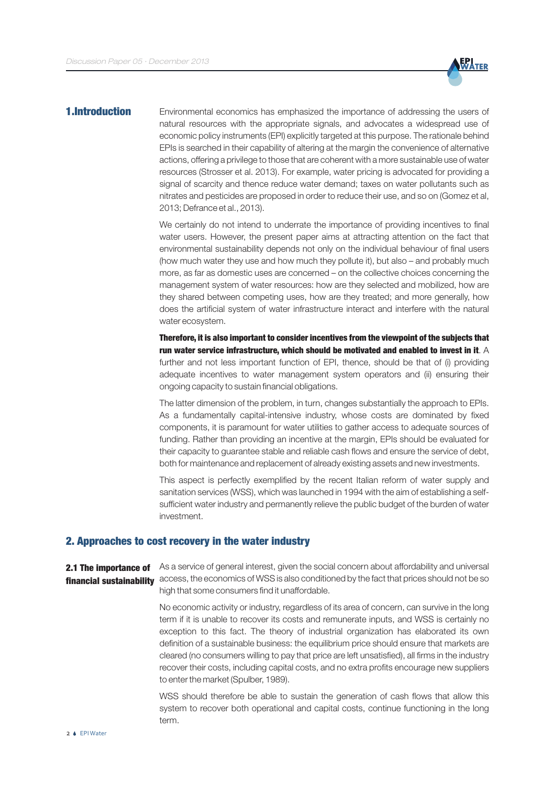

#### 1.Introduction

Environmental economics has emphasized the importance of addressing the users of natural resources with the appropriate signals, and advocates a widespread use of economic policy instruments (EPI) explicitly targeted at this purpose. The rationale behind EPIs is searched in their capability of altering at the margin the convenience of alternative actions, offering a privilege to those that are coherent with a more sustainable use of water resources (Strosser et al. 2013). For example, water pricing is advocated for providing a signal of scarcity and thence reduce water demand; taxes on water pollutants such as nitrates and pesticides are proposed in order to reduce their use, and so on (Gomez et al, 2013; Defrance et al., 2013).

We certainly do not intend to underrate the importance of providing incentives to final water users. However, the present paper aims at attracting attention on the fact that environmental sustainability depends not only on the individual behaviour of final users (how much water they use and how much they pollute it), but also – and probably much more, as far as domestic uses are concerned – on the collective choices concerning the management system of water resources: how are they selected and mobilized, how are they shared between competing uses, how are they treated; and more generally, how does the artificial system of water infrastructure interact and interfere with the natural water ecosystem.

run water service infrastructure, which should be motivated and enabled to invest in it.  $\bm{\mathsf{A}}$ further and not less important function of EPI, thence, should be that of (i) providing adequate incentives to water management system operators and (ii) ensuring their ongoing capacity to sustain financial obligations. Therefore, it is also important to consider incentives from the viewpoint of the subjects that

The latter dimension of the problem, in turn, changes substantially the approach to EPIs. As a fundamentally capital-intensive industry, whose costs are dominated by fixed components, it is paramount for water utilities to gather access to adequate sources of funding. Rather than providing an incentive at the margin, EPIs should be evaluated for their capacity to guarantee stable and reliable cash flows and ensure the service of debt, both for maintenance and replacement of already existing assets and new investments.

This aspect is perfectly exemplified by the recent Italian reform of water supply and sanitation services (WSS), which was launched in 1994 with the aim of establishing a selfsufficient water industry and permanently relieve the public budget of the burden of water investment.

#### 2. Approaches to cost recovery in the water industry

As a service of general interest, given the social concern about affordability and universal access, the economics of WSS is also conditioned by the fact that prices should not be so high that some consumers find it unaffordable. 2.1 The importance of financial sustainability

> No economic activity or industry, regardless of its area of concern, can survive in the long term if it is unable to recover its costs and remunerate inputs, and WSS is certainly no exception to this fact. The theory of industrial organization has elaborated its own definition of a sustainable business: the equilibrium price should ensure that markets are cleared (no consumers willing to pay that price are left unsatisfied), all firms in the industry recover their costs, including capital costs, and no extra profits encourage new suppliers to enter the market (Spulber, 1989).

> WSS should therefore be able to sustain the generation of cash flows that allow this system to recover both operational and capital costs, continue functioning in the long term.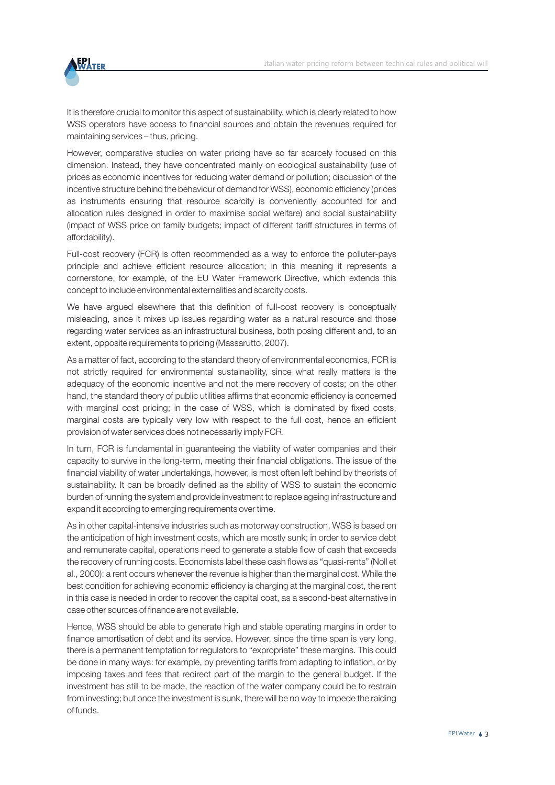

It is therefore crucial to monitor this aspect of sustainability, which is clearly related to how WSS operators have access to financial sources and obtain the revenues required for maintaining services – thus, pricing.

However, comparative studies on water pricing have so far scarcely focused on this dimension. Instead, they have concentrated mainly on ecological sustainability (use of prices as economic incentives for reducing water demand or pollution; discussion of the incentive structure behind the behaviour of demand for WSS), economic efficiency (prices as instruments ensuring that resource scarcity is conveniently accounted for and allocation rules designed in order to maximise social welfare) and social sustainability (impact of WSS price on family budgets; impact of different tariff structures in terms of affordability).

Full-cost recovery (FCR) is often recommended as a way to enforce the polluter-pays principle and achieve efficient resource allocation; in this meaning it represents a cornerstone, for example, of the EU Water Framework Directive, which extends this concept to include environmental externalities and scarcity costs.

We have argued elsewhere that this definition of full-cost recovery is conceptually misleading, since it mixes up issues regarding water as a natural resource and those regarding water services as an infrastructural business, both posing different and, to an extent, opposite requirements to pricing (Massarutto, 2007).

As a matter of fact, according to the standard theory of environmental economics, FCR is not strictly required for environmental sustainability, since what really matters is the adequacy of the economic incentive and not the mere recovery of costs; on the other hand, the standard theory of public utilities affirms that economic efficiency is concerned with marginal cost pricing; in the case of WSS, which is dominated by fixed costs, marginal costs are typically very low with respect to the full cost, hence an efficient provision of water services does not necessarily imply FCR.

In turn, FCR is fundamental in guaranteeing the viability of water companies and their capacity to survive in the long-term, meeting their financial obligations. The issue of the financial viability of water undertakings, however, is most often left behind by theorists of sustainability. It can be broadly defined as the ability of WSS to sustain the economic burden of running the system and provide investment to replace ageing infrastructure and expand it according to emerging requirements over time.

As in other capital-intensive industries such as motorway construction, WSS is based on the anticipation of high investment costs, which are mostly sunk; in order to service debt and remunerate capital, operations need to generate a stable flow of cash that exceeds the recovery of running costs. Economists label these cash flows as "quasi-rents" (Noll et al., 2000): a rent occurs whenever the revenue is higher than the marginal cost. While the best condition for achieving economic efficiency is charging at the marginal cost, the rent in this case is needed in order to recover the capital cost, as a second-best alternative in case other sources of finance are not available.

Hence, WSS should be able to generate high and stable operating margins in order to finance amortisation of debt and its service. However, since the time span is very long, there is a permanent temptation for regulators to "expropriate" these margins. This could be done in many ways: for example, by preventing tariffs from adapting to inflation, or by imposing taxes and fees that redirect part of the margin to the general budget. If the investment has still to be made, the reaction of the water company could be to restrain from investing; but once the investment is sunk, there will be no way to impede the raiding of funds.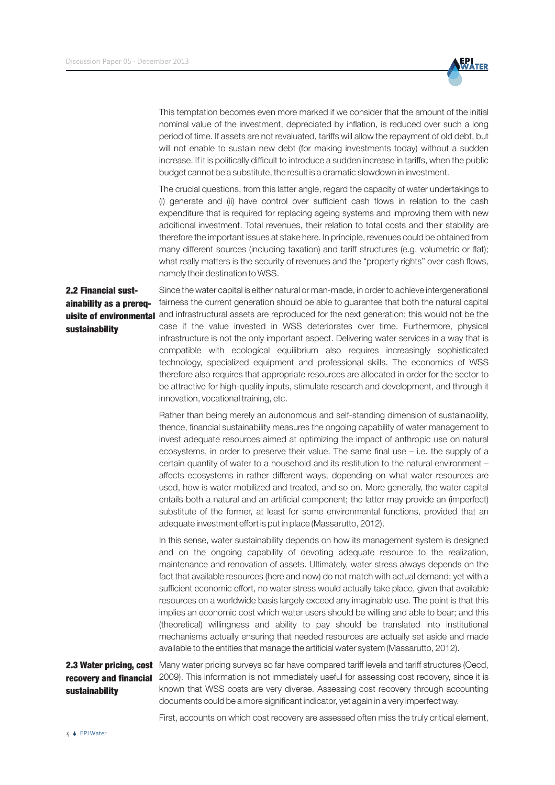

This temptation becomes even more marked if we consider that the amount of the initial nominal value of the investment, depreciated by inflation, is reduced over such a long period of time. If assets are not revaluated, tariffs will allow the repayment of old debt, but will not enable to sustain new debt (for making investments today) without a sudden increase. If it is politically difficult to introduce a sudden increase in tariffs, when the public budget cannot be a substitute, the result is a dramatic slowdown in investment.

The crucial questions, from this latter angle, regard the capacity of water undertakings to (i) generate and (ii) have control over sufficient cash flows in relation to the cash expenditure that is required for replacing ageing systems and improving them with new additional investment. Total revenues, their relation to total costs and their stability are therefore the important issues at stake here. In principle, revenues could be obtained from many different sources (including taxation) and tariff structures (e.g. volumetric or flat); what really matters is the security of revenues and the "property rights" over cash flows, namely their destination to WSS.

## 2.2 Financial sustainability as a prereqsustainability

Since the water capital is either natural or man-made, in order to achieve intergenerational fairness the current generation should be able to guarantee that both the natural capital uisite of environmental and infrastructural assets are reproduced for the next generation; this would not be the case if the value invested in WSS deteriorates over time. Furthermore, physical infrastructure is not the only important aspect. Delivering water services in a way that is compatible with ecological equilibrium also requires increasingly sophisticated technology, specialized equipment and professional skills. The economics of WSS therefore also requires that appropriate resources are allocated in order for the sector to be attractive for high-quality inputs, stimulate research and development, and through it innovation, vocational training, etc.

> Rather than being merely an autonomous and self-standing dimension of sustainability, thence, financial sustainability measures the ongoing capability of water management to invest adequate resources aimed at optimizing the impact of anthropic use on natural ecosystems, in order to preserve their value. The same final use – i.e. the supply of a certain quantity of water to a household and its restitution to the natural environment – affects ecosystems in rather different ways, depending on what water resources are used, how is water mobilized and treated, and so on. More generally, the water capital entails both a natural and an artificial component; the latter may provide an (imperfect) substitute of the former, at least for some environmental functions, provided that an adequate investment effort is put in place (Massarutto, 2012).

> In this sense, water sustainability depends on how its management system is designed and on the ongoing capability of devoting adequate resource to the realization, maintenance and renovation of assets. Ultimately, water stress always depends on the fact that available resources (here and now) do not match with actual demand; yet with a sufficient economic effort, no water stress would actually take place, given that available resources on a worldwide basis largely exceed any imaginable use. The point is that this implies an economic cost which water users should be willing and able to bear; and this (theoretical) willingness and ability to pay should be translated into institutional mechanisms actually ensuring that needed resources are actually set aside and made available to the entities that manage the artificial water system (Massarutto, 2012).

# sustainability

2.3 Water pricing, cost Many water pricing surveys so far have compared tariff levels and tariff structures (Oecd, recovery and financial 2009). This information is not immediately useful for assessing cost recovery, since it is known that WSS costs are very diverse. Assessing cost recovery through accounting documents could be a more significant indicator, yet again in a very imperfect way.

First, accounts on which cost recovery are assessed often miss the truly critical element,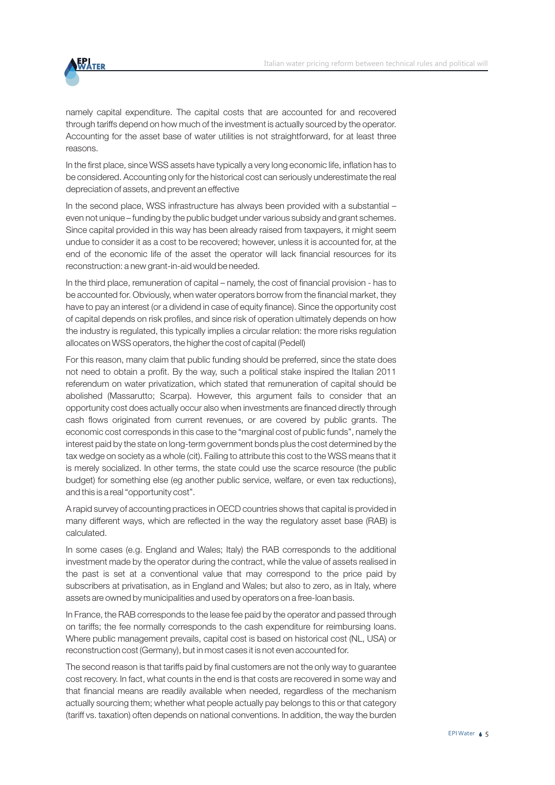

namely capital expenditure. The capital costs that are accounted for and recovered through tariffs depend on how much of the investment is actually sourced by the operator. Accounting for the asset base of water utilities is not straightforward, for at least three reasons.

In the first place, since WSS assets have typically a very long economic life, inflation has to be considered. Accounting only for the historical cost can seriously underestimate the real depreciation of assets, and prevent an effective

In the second place, WSS infrastructure has always been provided with a substantial – even not unique – funding by the public budget under various subsidy and grant schemes. Since capital provided in this way has been already raised from taxpayers, it might seem undue to consider it as a cost to be recovered; however, unless it is accounted for, at the end of the economic life of the asset the operator will lack financial resources for its reconstruction: a new grant-in-aid would be needed.

In the third place, remuneration of capital – namely, the cost of financial provision - has to be accounted for. Obviously, when water operators borrow from the financial market, they have to pay an interest (or a dividend in case of equity finance). Since the opportunity cost of capital depends on risk profiles, and since risk of operation ultimately depends on how the industry is regulated, this typically implies a circular relation: the more risks regulation allocates on WSS operators, the higher the cost of capital (Pedell)

For this reason, many claim that public funding should be preferred, since the state does not need to obtain a profit. By the way, such a political stake inspired the Italian 2011 referendum on water privatization, which stated that remuneration of capital should be abolished (Massarutto; Scarpa). However, this argument fails to consider that an opportunity cost does actually occur also when investments are financed directly through cash flows originated from current revenues, or are covered by public grants. The economic cost corresponds in this case to the "marginal cost of public funds", namely the interest paid by the state on long-term government bonds plus the cost determined by the tax wedge on society as a whole (cit). Failing to attribute this cost to the WSS means that it is merely socialized. In other terms, the state could use the scarce resource (the public budget) for something else (eg another public service, welfare, or even tax reductions), and this is a real "opportunity cost".

A rapid survey of accounting practices in OECD countries shows that capital is provided in many different ways, which are reflected in the way the regulatory asset base (RAB) is calculated.

In some cases (e.g. England and Wales; Italy) the RAB corresponds to the additional investment made by the operator during the contract, while the value of assets realised in the past is set at a conventional value that may correspond to the price paid by subscribers at privatisation, as in England and Wales; but also to zero, as in Italy, where assets are owned by municipalities and used by operators on a free-loan basis.

In France, the RAB corresponds to the lease fee paid by the operator and passed through on tariffs; the fee normally corresponds to the cash expenditure for reimbursing loans. Where public management prevails, capital cost is based on historical cost (NL, USA) or reconstruction cost (Germany), but in most cases it is not even accounted for.

The second reason is that tariffs paid by final customers are not the only way to guarantee cost recovery. In fact, what counts in the end is that costs are recovered in some way and that financial means are readily available when needed, regardless of the mechanism actually sourcing them; whether what people actually pay belongs to this or that category (tariff vs. taxation) often depends on national conventions. In addition, the way the burden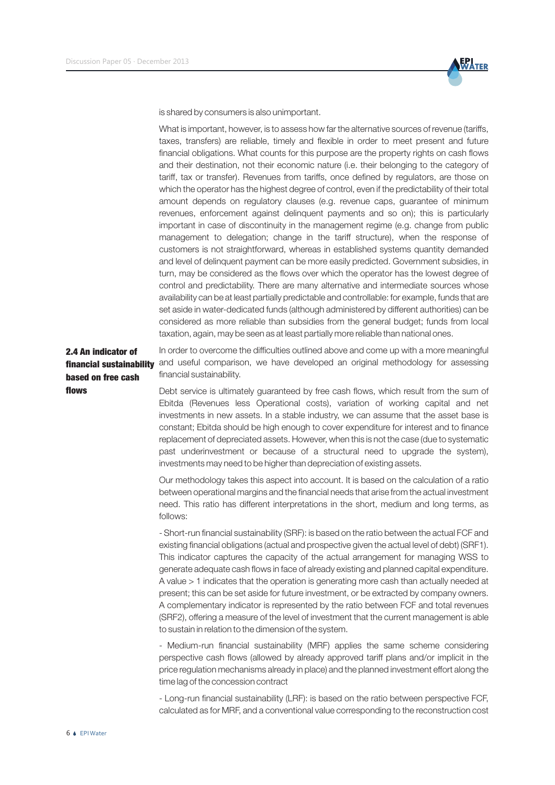

is shared by consumers is also unimportant.

What is important, however, is to assess how far the alternative sources of revenue (tariffs, taxes, transfers) are reliable, timely and flexible in order to meet present and future financial obligations. What counts for this purpose are the property rights on cash flows and their destination, not their economic nature (i.e. their belonging to the category of tariff, tax or transfer). Revenues from tariffs, once defined by regulators, are those on which the operator has the highest degree of control, even if the predictability of their total amount depends on regulatory clauses (e.g. revenue caps, guarantee of minimum revenues, enforcement against delinquent payments and so on); this is particularly important in case of discontinuity in the management regime (e.g. change from public management to delegation; change in the tariff structure), when the response of customers is not straightforward, whereas in established systems quantity demanded and level of delinquent payment can be more easily predicted. Government subsidies, in turn, may be considered as the flows over which the operator has the lowest degree of control and predictability. There are many alternative and intermediate sources whose availability can be at least partially predictable and controllable: for example, funds that are set aside in water-dedicated funds (although administered by different authorities) can be considered as more reliable than subsidies from the general budget; funds from local taxation, again, may be seen as at least partially more reliable than national ones.

In order to overcome the difficulties outlined above and come up with a more meaningful financial sustainability <sup>and</sup> useful comparison, we have developed an original methodology for assessing financial sustainability. 2.4 An indicator of based on free cash

> Debt service is ultimately guaranteed by free cash flows, which result from the sum of Ebitda (Revenues less Operational costs), variation of working capital and net investments in new assets. In a stable industry, we can assume that the asset base is constant; Ebitda should be high enough to cover expenditure for interest and to finance replacement of depreciated assets. However, when this is not the case (due to systematic past underinvestment or because of a structural need to upgrade the system), investments may need to be higher than depreciation of existing assets.

Our methodology takes this aspect into account. It is based on the calculation of a ratio between operational margins and the financial needs that arise from the actual investment need. This ratio has different interpretations in the short, medium and long terms, as follows:

- Short-run financial sustainability (SRF): is based on the ratio between the actual FCF and existing financial obligations (actual and prospective given the actual level of debt) (SRF1). This indicator captures the capacity of the actual arrangement for managing WSS to generate adequate cash flows in face of already existing and planned capital expenditure. A value > 1 indicates that the operation is generating more cash than actually needed at present; this can be set aside for future investment, or be extracted by company owners. A complementary indicator is represented by the ratio between FCF and total revenues (SRF2), offering a measure of the level of investment that the current management is able to sustain in relation to the dimension of the system.

- Medium-run financial sustainability (MRF) applies the same scheme considering perspective cash flows (allowed by already approved tariff plans and/or implicit in the price regulation mechanisms already in place) and the planned investment effort along the time lag of the concession contract

- Long-run financial sustainability (LRF): is based on the ratio between perspective FCF, calculated as for MRF, and a conventional value corresponding to the reconstruction cost

flows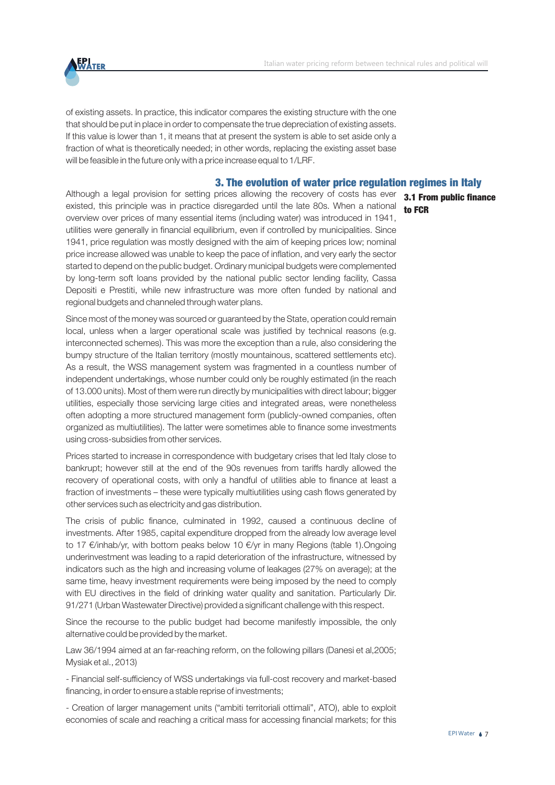

of existing assets. In practice, this indicator compares the existing structure with the one that should be put in place in order to compensate the true depreciation of existing assets. If this value is lower than 1, it means that at present the system is able to set aside only a fraction of what is theoretically needed; in other words, replacing the existing asset base will be feasible in the future only with a price increase equal to 1/LRF.

#### 3. The evolution of water price regulation regimes in Italy

Although a legal provision for setting prices allowing the recovery of costs has ever existed, this principle was in practice disregarded until the late 80s. When a national overview over prices of many essential items (including water) was introduced in 1941, utilities were generally in financial equilibrium, even if controlled by municipalities. Since 1941, price regulation was mostly designed with the aim of keeping prices low; nominal price increase allowed was unable to keep the pace of inflation, and very early the sector started to depend on the public budget. Ordinary municipal budgets were complemented by long-term soft loans provided by the national public sector lending facility, Cassa Depositi e Prestiti, while new infrastructure was more often funded by national and regional budgets and channeled through water plans.

Since most of the money was sourced or guaranteed by the State, operation could remain local, unless when a larger operational scale was justified by technical reasons (e.g. interconnected schemes). This was more the exception than a rule, also considering the bumpy structure of the Italian territory (mostly mountainous, scattered settlements etc). As a result, the WSS management system was fragmented in a countless number of independent undertakings, whose number could only be roughly estimated (in the reach of 13.000 units). Most of them were run directly by municipalities with direct labour; bigger utilities, especially those servicing large cities and integrated areas, were nonetheless often adopting a more structured management form (publicly-owned companies, often organized as multiutilities). The latter were sometimes able to finance some investments using cross-subsidies from other services.

Prices started to increase in correspondence with budgetary crises that led Italy close to bankrupt; however still at the end of the 90s revenues from tariffs hardly allowed the recovery of operational costs, with only a handful of utilities able to finance at least a fraction of investments – these were typically multiutilities using cash flows generated by other services such as electricity and gas distribution.

The crisis of public finance, culminated in 1992, caused a continuous decline of investments. After 1985, capital expenditure dropped from the already low average level to 17 €/inhab/yr, with bottom peaks below 10 €/yr in many Regions (table 1).Ongoing underinvestment was leading to a rapid deterioration of the infrastructure, witnessed by indicators such as the high and increasing volume of leakages (27% on average); at the same time, heavy investment requirements were being imposed by the need to comply with EU directives in the field of drinking water quality and sanitation. Particularly Dir. 91/271 (Urban Wastewater Directive) provided a significant challenge with this respect.

Since the recourse to the public budget had become manifestly impossible, the only alternative could be provided by the market.

Law 36/1994 aimed at an far-reaching reform, on the following pillars (Danesi et al,2005; Mysiak et al., 2013)

- Financial self-sufficiency of WSS undertakings via full-cost recovery and market-based financing, in order to ensure a stable reprise of investments;

- Creation of larger management units ("ambiti territoriali ottimali", ATO), able to exploit economies of scale and reaching a critical mass for accessing financial markets; for this

3.1 From public finance to FCR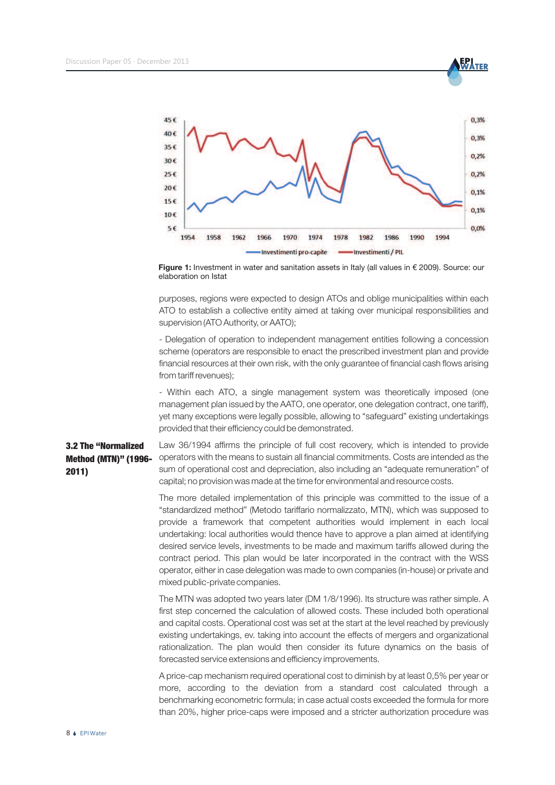**EPI**<br>WATER



**Figure 1:** Investment in water and sanitation assets in Italy (all values in € 2009). Source: our elaboration on Istat

purposes, regions were expected to design ATOs and oblige municipalities within each ATO to establish a collective entity aimed at taking over municipal responsibilities and supervision (ATO Authority, or AATO);

- Delegation of operation to independent management entities following a concession scheme (operators are responsible to enact the prescribed investment plan and provide financial resources at their own risk, with the only guarantee of financial cash flows arising from tariff revenues);

- Within each ATO, a single management system was theoretically imposed (one management plan issued by the AATO, one operator, one delegation contract, one tariff), yet many exceptions were legally possible, allowing to "safeguard" existing undertakings provided that their efficiency could be demonstrated.

### 3.2 The "Normalized Method (MTN)" (1996- 2011)

Law 36/1994 affirms the principle of full cost recovery, which is intended to provide operators with the means to sustain all financial commitments. Costs are intended as the sum of operational cost and depreciation, also including an "adequate remuneration" of capital; no provision was made at the time for environmental and resource costs.

The more detailed implementation of this principle was committed to the issue of a "standardized method" (Metodo tariffario normalizzato, MTN), which was supposed to provide a framework that competent authorities would implement in each local undertaking: local authorities would thence have to approve a plan aimed at identifying desired service levels, investments to be made and maximum tariffs allowed during the contract period. This plan would be later incorporated in the contract with the WSS operator, either in case delegation was made to own companies (in-house) or private and mixed public-private companies.

The MTN was adopted two years later (DM 1/8/1996). Its structure was rather simple. A first step concerned the calculation of allowed costs. These included both operational and capital costs. Operational cost was set at the start at the level reached by previously existing undertakings, ev. taking into account the effects of mergers and organizational rationalization. The plan would then consider its future dynamics on the basis of forecasted service extensions and efficiency improvements.

A price-cap mechanism required operational cost to diminish by at least 0,5% per year or more, according to the deviation from a standard cost calculated through a benchmarking econometric formula; in case actual costs exceeded the formula for more than 20%, higher price-caps were imposed and a stricter authorization procedure was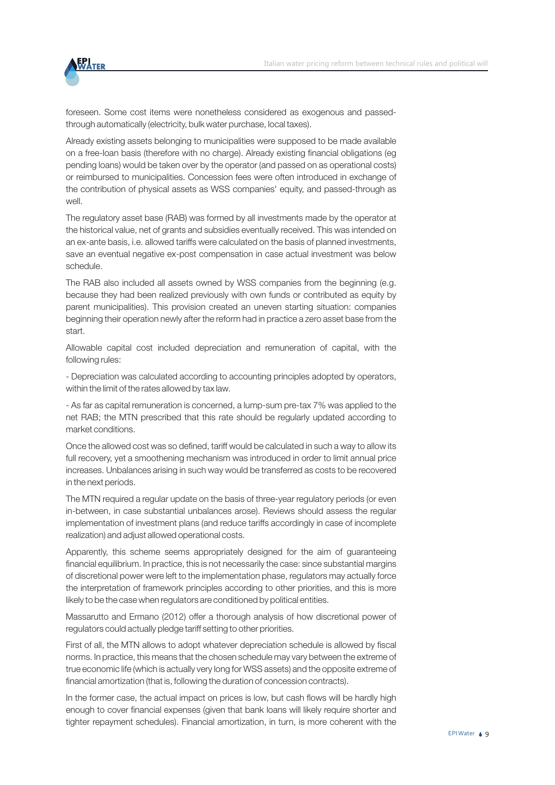

foreseen. Some cost items were nonetheless considered as exogenous and passedthrough automatically (electricity, bulk water purchase, local taxes).

Already existing assets belonging to municipalities were supposed to be made available on a free-loan basis (therefore with no charge). Already existing financial obligations (eg pending loans) would be taken over by the operator (and passed on as operational costs) or reimbursed to municipalities. Concession fees were often introduced in exchange of the contribution of physical assets as WSS companies' equity, and passed-through as well.

The regulatory asset base (RAB) was formed by all investments made by the operator at the historical value, net of grants and subsidies eventually received. This was intended on an ex-ante basis, i.e. allowed tariffs were calculated on the basis of planned investments, save an eventual negative ex-post compensation in case actual investment was below schedule.

The RAB also included all assets owned by WSS companies from the beginning (e.g. because they had been realized previously with own funds or contributed as equity by parent municipalities). This provision created an uneven starting situation: companies beginning their operation newly after the reform had in practice a zero asset base from the start.

Allowable capital cost included depreciation and remuneration of capital, with the following rules:

- Depreciation was calculated according to accounting principles adopted by operators, within the limit of the rates allowed by tax law.

- As far as capital remuneration is concerned, a lump-sum pre-tax 7% was applied to the net RAB; the MTN prescribed that this rate should be regularly updated according to market conditions.

Once the allowed cost was so defined, tariff would be calculated in such a way to allow its full recovery, yet a smoothening mechanism was introduced in order to limit annual price increases. Unbalances arising in such way would be transferred as costs to be recovered in the next periods.

The MTN required a regular update on the basis of three-year regulatory periods (or even in-between, in case substantial unbalances arose). Reviews should assess the regular implementation of investment plans (and reduce tariffs accordingly in case of incomplete realization) and adjust allowed operational costs.

Apparently, this scheme seems appropriately designed for the aim of guaranteeing financial equilibrium. In practice, this is not necessarily the case: since substantial margins of discretional power were left to the implementation phase, regulators may actually force the interpretation of framework principles according to other priorities, and this is more likely to be the case when regulators are conditioned by political entities.

Massarutto and Ermano (2012) offer a thorough analysis of how discretional power of regulators could actually pledge tariff setting to other priorities.

First of all, the MTN allows to adopt whatever depreciation schedule is allowed by fiscal norms. In practice, this means that the chosen schedule may vary between the extreme of true economic life (which is actually very long for WSS assets) and the opposite extreme of financial amortization (that is, following the duration of concession contracts).

In the former case, the actual impact on prices is low, but cash flows will be hardly high enough to cover financial expenses (given that bank loans will likely require shorter and tighter repayment schedules). Financial amortization, in turn, is more coherent with the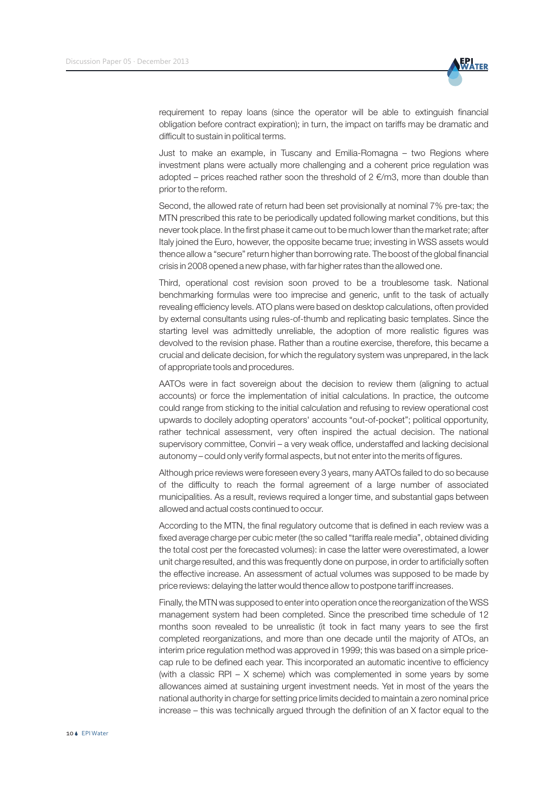

requirement to repay loans (since the operator will be able to extinguish financial obligation before contract expiration); in turn, the impact on tariffs may be dramatic and difficult to sustain in political terms.

Just to make an example, in Tuscany and Emilia-Romagna – two Regions where investment plans were actually more challenging and a coherent price regulation was adopted – prices reached rather soon the threshold of  $2 \in \mathbb{R}$  m3, more than double than prior to the reform.

Second, the allowed rate of return had been set provisionally at nominal 7% pre-tax; the MTN prescribed this rate to be periodically updated following market conditions, but this never took place. In the first phase it came out to be much lower than the market rate; after Italy joined the Euro, however, the opposite became true; investing in WSS assets would thence allow a "secure" return higher than borrowing rate. The boost of the global financial crisis in 2008 opened a new phase, with far higher rates than the allowed one.

Third, operational cost revision soon proved to be a troublesome task. National benchmarking formulas were too imprecise and generic, unfit to the task of actually revealing efficiency levels. ATO plans were based on desktop calculations, often provided by external consultants using rules-of-thumb and replicating basic templates. Since the starting level was admittedly unreliable, the adoption of more realistic figures was devolved to the revision phase. Rather than a routine exercise, therefore, this became a crucial and delicate decision, for which the regulatory system was unprepared, in the lack of appropriate tools and procedures.

AATOs were in fact sovereign about the decision to review them (aligning to actual accounts) or force the implementation of initial calculations. In practice, the outcome could range from sticking to the initial calculation and refusing to review operational cost upwards to docilely adopting operators' accounts "out-of-pocket"; political opportunity, rather technical assessment, very often inspired the actual decision. The national supervisory committee, Conviri – a very weak office, understaffed and lacking decisional autonomy – could only verify formal aspects, but not enter into the merits of figures.

Although price reviews were foreseen every 3 years, many AATOs failed to do so because of the difficulty to reach the formal agreement of a large number of associated municipalities. As a result, reviews required a longer time, and substantial gaps between allowed and actual costs continued to occur.

According to the MTN, the final regulatory outcome that is defined in each review was a fixed average charge per cubic meter (the so called "tariffa reale media", obtained dividing the total cost per the forecasted volumes): in case the latter were overestimated, a lower unit charge resulted, and this was frequently done on purpose, in order to artificially soften the effective increase. An assessment of actual volumes was supposed to be made by price reviews: delaying the latter would thence allow to postpone tariff increases.

Finally, the MTN was supposed to enter into operation once the reorganization of the WSS management system had been completed. Since the prescribed time schedule of 12 months soon revealed to be unrealistic (it took in fact many years to see the first completed reorganizations, and more than one decade until the majority of ATOs, an interim price regulation method was approved in 1999; this was based on a simple pricecap rule to be defined each year. This incorporated an automatic incentive to efficiency (with a classic RPI –  $X$  scheme) which was complemented in some years by some allowances aimed at sustaining urgent investment needs. Yet in most of the years the national authority in charge for setting price limits decided to maintain a zero nominal price increase – this was technically argued through the definition of an X factor equal to the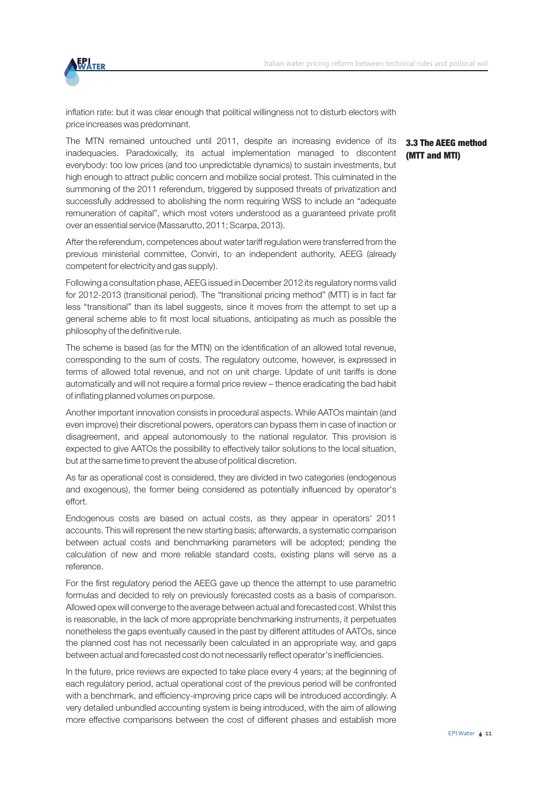

inflation rate: but it was clear enough that political willingness not to disturb electors with price increases was predominant.

The MTN remained untouched until 2011, despite an increasing evidence of its inadequacies. Paradoxically, its actual implementation managed to discontent everybody: too low prices (and too unpredictable dynamics) to sustain investments, but high enough to attract public concern and mobilize social protest. This culminated in the summoning of the 2011 referendum, triggered by supposed threats of privatization and successfully addressed to abolishing the norm requiring WSS to include an "adequate remuneration of capital", which most voters understood as a guaranteed private profit over an essential service (Massarutto, 2011; Scarpa, 2013).

After the referendum, competences about water tariff regulation were transferred from the previous ministerial committee, Conviri, to an independent authority, AEEG (already competent for electricity and gas supply).

Following a consultation phase, AEEG issued in December 2012 its regulatory norms valid for 2012-2013 (transitional period). The "transitional pricing method" (MTT) is in fact far less "transitional" than its label suggests, since it moves from the attempt to set up a general scheme able to fit most local situations, anticipating as much as possible the philosophy of the definitive rule.

The scheme is based (as for the MTN) on the identification of an allowed total revenue, corresponding to the sum of costs. The regulatory outcome, however, is expressed in terms of allowed total revenue, and not on unit charge. Update of unit tariffs is done automatically and will not require a formal price review – thence eradicating the bad habit of inflating planned volumes on purpose.

Another important innovation consists in procedural aspects. While AATOs maintain (and even improve) their discretional powers, operators can bypass them in case of inaction or disagreement, and appeal autonomously to the national regulator. This provision is expected to give AATOs the possibility to effectively tailor solutions to the local situation, but at the same time to prevent the abuse of political discretion.

As far as operational cost is considered, they are divided in two categories (endogenous and exogenous), the former being considered as potentially influenced by operator's effort.

Endogenous costs are based on actual costs, as they appear in operators' 2011 accounts. This will represent the new starting basis; afterwards, a systematic comparison between actual costs and benchmarking parameters will be adopted; pending the calculation of new and more reliable standard costs, existing plans will serve as a reference.

For the first regulatory period the AEEG gave up thence the attempt to use parametric formulas and decided to rely on previously forecasted costs as a basis of comparison. Allowed opex will converge to the average between actual and forecasted cost. Whilst this is reasonable, in the lack of more appropriate benchmarking instruments, it perpetuates nonetheless the gaps eventually caused in the past by different attitudes of AATOs, since the planned cost has not necessarily been calculated in an appropriate way, and gaps between actual and forecasted cost do not necessarily reflect operator's inefficiencies.

In the future, price reviews are expected to take place every 4 years; at the beginning of each regulatory period, actual operational cost of the previous period will be confronted with a benchmark, and efficiency-improving price caps will be introduced accordingly. A very detailed unbundled accounting system is being introduced, with the aim of allowing more effective comparisons between the cost of different phases and establish more

### 3.3 The AEEG method (MTT and MTI)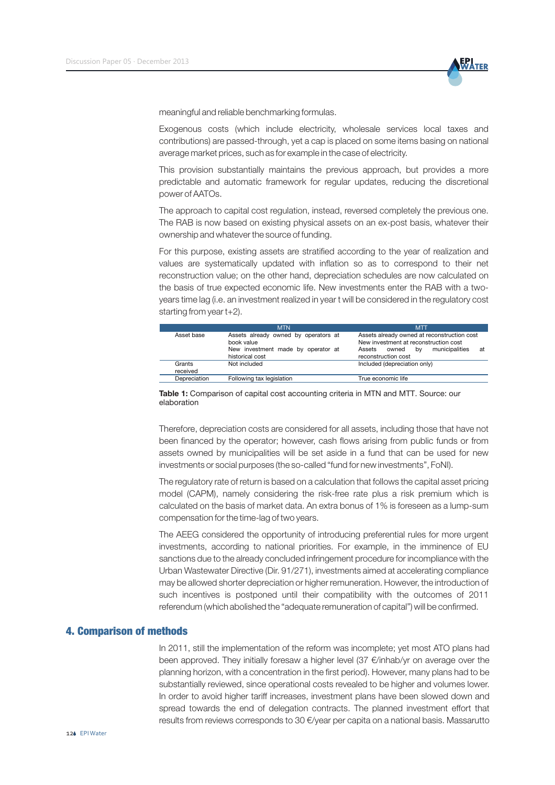

meaningful and reliable benchmarking formulas.

Exogenous costs (which include electricity, wholesale services local taxes and contributions) are passed-through, yet a cap is placed on some items basing on national average market prices, such as for example in the case of electricity.

This provision substantially maintains the previous approach, but provides a more predictable and automatic framework for regular updates, reducing the discretional power of AATOs.

The approach to capital cost regulation, instead, reversed completely the previous one. The RAB is now based on existing physical assets on an ex-post basis, whatever their ownership and whatever the source of funding.

For this purpose, existing assets are stratified according to the year of realization and values are systematically updated with inflation so as to correspond to their net reconstruction value; on the other hand, depreciation schedules are now calculated on the basis of true expected economic life. New investments enter the RAB with a twoyears time lag (i.e. an investment realized in year t will be considered in the regulatory cost starting from year t+2).

|                    | <b>MTN</b>                                                                                                  | <b>MTT</b>                                                                                                                                                   |  |  |  |  |
|--------------------|-------------------------------------------------------------------------------------------------------------|--------------------------------------------------------------------------------------------------------------------------------------------------------------|--|--|--|--|
| Asset base         | Assets already owned by operators at<br>book value<br>New investment made by operator at<br>historical cost | Assets already owned at reconstruction cost<br>New investment at reconstruction cost<br>municipalities<br>owned<br>bv<br>Assets<br>at<br>reconstruction cost |  |  |  |  |
| Grants<br>received | Not included                                                                                                | Included (depreciation only)                                                                                                                                 |  |  |  |  |
| Depreciation       | Following tax legislation                                                                                   | True economic life                                                                                                                                           |  |  |  |  |

**Table 1:** Comparison of capital cost accounting criteria in MTN and MTT. Source: our elaboration

Therefore, depreciation costs are considered for all assets, including those that have not been financed by the operator; however, cash flows arising from public funds or from assets owned by municipalities will be set aside in a fund that can be used for new investments or social purposes (the so-called "fund for new investments", FoNI).

The regulatory rate of return is based on a calculation that follows the capital asset pricing model (CAPM), namely considering the risk-free rate plus a risk premium which is calculated on the basis of market data. An extra bonus of 1% is foreseen as a lump-sum compensation for the time-lag of two years.

The AEEG considered the opportunity of introducing preferential rules for more urgent investments, according to national priorities. For example, in the imminence of EU sanctions due to the already concluded infringement procedure for incompliance with the Urban Wastewater Directive (Dir. 91/271), investments aimed at accelerating compliance may be allowed shorter depreciation or higher remuneration. However, the introduction of such incentives is postponed until their compatibility with the outcomes of 2011 referendum (which abolished the "adequate remuneration of capital") will be confirmed.

#### 4. Comparison of methods

In 2011, still the implementation of the reform was incomplete; yet most ATO plans had been approved. They initially foresaw a higher level (37 €/inhab/yr on average over the planning horizon, with a concentration in the first period). However, many plans had to be substantially reviewed, since operational costs revealed to be higher and volumes lower. In order to avoid higher tariff increases, investment plans have been slowed down and spread towards the end of delegation contracts. The planned investment effort that results from reviews corresponds to 30 €/year per capita on a national basis. Massarutto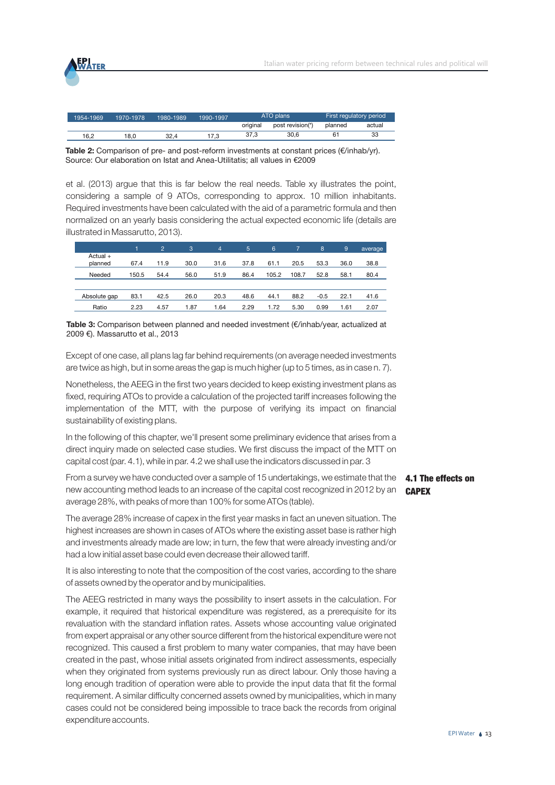

| 1954-1969 | 1970-1978 | 1980-1989 | 1990-1997 | ATO plans |                  | First regulatory period |        |
|-----------|-----------|-----------|-----------|-----------|------------------|-------------------------|--------|
|           |           |           |           | original  | post revision(*) | planned                 | actual |
| 16.2      | 18.0      | 32.4      | 7.3       | 37.3      | 30.6             |                         | 33     |

**Table 2:** Comparison of pre- and post-reform investments at constant prices (€/inhab/yr). Source: Our elaboration on Istat and Anea-Utilitatis; all values in €2009

et al. (2013) argue that this is far below the real needs. Table xy illustrates the point, considering a sample of 9 ATOs, corresponding to approx. 10 million inhabitants. Required investments have been calculated with the aid of a parametric formula and then normalized on an yearly basis considering the actual expected economic life (details are illustrated in Massarutto, 2013).

|                       |       | $\overline{2}$ | 3    | 4    | 5    | 6     | 7     | 8      | 9    | average |
|-----------------------|-------|----------------|------|------|------|-------|-------|--------|------|---------|
| $Actual +$<br>planned | 67.4  | 11.9           | 30.0 | 31.6 | 37.8 | 61.1  | 20.5  | 53.3   | 36.0 | 38.8    |
| Needed                | 150.5 | 54.4           | 56.0 | 51.9 | 86.4 | 105.2 | 108.7 | 52.8   | 58.1 | 80.4    |
|                       |       |                |      |      |      |       |       |        |      |         |
| Absolute gap          | 83.1  | 42.5           | 26.0 | 20.3 | 48.6 | 44.1  | 88.2  | $-0.5$ | 22.1 | 41.6    |
| Ratio                 | 2.23  | 4.57           | 1.87 | 1.64 | 2.29 | 1.72  | 5.30  | 0.99   | 1.61 | 2.07    |

**Table 3:** Comparison between planned and needed investment (€/inhab/year, actualized at 2009 €). Massarutto et al., 2013

Except of one case, all plans lag far behind requirements (on average needed investments are twice as high, but in some areas the gap is much higher (up to 5 times, as in case n. 7).

Nonetheless, the AEEG in the first two years decided to keep existing investment plans as fixed, requiring ATOs to provide a calculation of the projected tariff increases following the implementation of the MTT, with the purpose of verifying its impact on financial sustainability of existing plans.

In the following of this chapter, we'll present some preliminary evidence that arises from a direct inquiry made on selected case studies. We first discuss the impact of the MTT on capital cost (par. 4.1), while in par. 4.2 we shall use the indicators discussed in par. 3

From a survey we have conducted over a sample of 15 undertakings, we estimate that the **4.1 The effects on** new accounting method leads to an increase of the capital cost recognized in 2012 by an  $\binom{GAPEX}{}$ average 28%, with peaks of more than 100% for some ATOs (table).

The average 28% increase of capex in the first year masks in fact an uneven situation. The highest increases are shown in cases of ATOs where the existing asset base is rather high and investments already made are low; in turn, the few that were already investing and/or had a low initial asset base could even decrease their allowed tariff.

It is also interesting to note that the composition of the cost varies, according to the share of assets owned by the operator and by municipalities.

The AEEG restricted in many ways the possibility to insert assets in the calculation. For example, it required that historical expenditure was registered, as a prerequisite for its revaluation with the standard inflation rates. Assets whose accounting value originated from expert appraisal or any other source different from the historical expenditure were not recognized. This caused a first problem to many water companies, that may have been created in the past, whose initial assets originated from indirect assessments, especially when they originated from systems previously run as direct labour. Only those having a long enough tradition of operation were able to provide the input data that fit the formal requirement. A similar difficulty concerned assets owned by municipalities, which in many cases could not be considered being impossible to trace back the records from original expenditure accounts.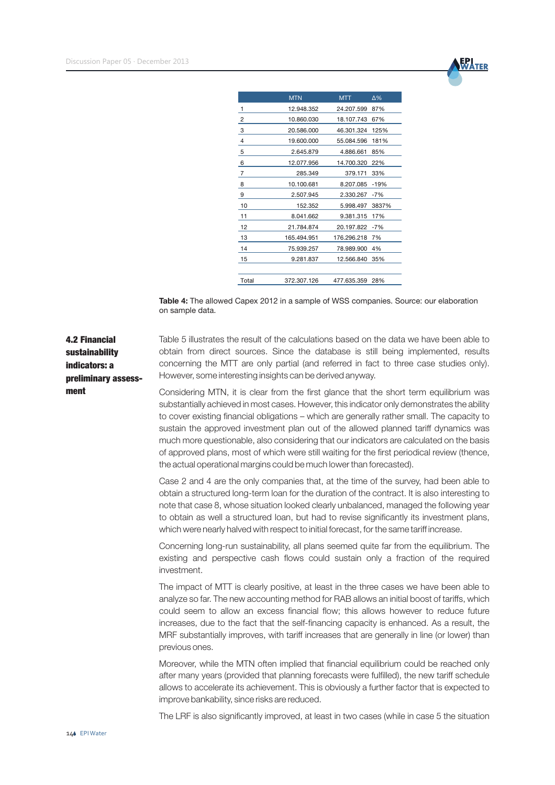

|                | <b>MTN</b>  | <b>MTT</b>  | Δ%     |
|----------------|-------------|-------------|--------|
| 1              | 12.948.352  | 24.207.599  | 87%    |
| $\overline{c}$ | 10.860.030  | 18.107.743  | 67%    |
| 3              | 20.586.000  | 46.301.324  | 125%   |
| $\overline{4}$ | 19.600.000  | 55.084.596  | 181%   |
| 5              | 2.645.879   | 4.886.661   | 85%    |
| 6              | 12.077.956  | 14.700.320  | 22%    |
| 7              | 285.349     | 379.171     | 33%    |
| 8              | 10.100.681  | 8.207.085   | $-19%$ |
| 9              | 2.507.945   | 2.330.267   | $-7%$  |
| 10             | 152.352     | 5.998.497   | 3837%  |
| 11             | 8.041.662   | 9.381.315   | 17%    |
| 12             | 21.784.874  | 20.197.822  | $-7%$  |
| 13             | 165.494.951 | 176.296.218 | 7%     |
| 14             | 75.939.257  | 78.989.900  | 4%     |
| 15             | 9.281.837   | 12.566.840  | 35%    |
|                |             |             |        |
| Total          | 372.307.126 | 477.635.359 | 28%    |

**Table 4:** The allowed Capex 2012 in a sample of WSS companies. Source: our elaboration on sample data.

4.2 Financial sustainability indicators: a preliminary assess-Table 5 illustrates the result of the calculations based on the data we have been able to obtain from direct sources. Since the database is still being implemented, results concerning the MTT are only partial (and referred in fact to three case studies only). However, some interesting insights can be derived anyway.

> Considering MTN, it is clear from the first glance that the short term equilibrium was substantially achieved in most cases. However, this indicator only demonstrates the ability to cover existing financial obligations – which are generally rather small. The capacity to sustain the approved investment plan out of the allowed planned tariff dynamics was much more questionable, also considering that our indicators are calculated on the basis of approved plans, most of which were still waiting for the first periodical review (thence, the actual operational margins could be much lower than forecasted).

> Case 2 and 4 are the only companies that, at the time of the survey, had been able to obtain a structured long-term loan for the duration of the contract. It is also interesting to note that case 8, whose situation looked clearly unbalanced, managed the following year to obtain as well a structured loan, but had to revise significantly its investment plans, which were nearly halved with respect to initial forecast, for the same tariff increase.

> Concerning long-run sustainability, all plans seemed quite far from the equilibrium. The existing and perspective cash flows could sustain only a fraction of the required investment.

> The impact of MTT is clearly positive, at least in the three cases we have been able to analyze so far. The new accounting method for RAB allows an initial boost of tariffs, which could seem to allow an excess financial flow; this allows however to reduce future increases, due to the fact that the self-financing capacity is enhanced. As a result, the MRF substantially improves, with tariff increases that are generally in line (or lower) than previous ones.

> Moreover, while the MTN often implied that financial equilibrium could be reached only after many years (provided that planning forecasts were fulfilled), the new tariff schedule allows to accelerate its achievement. This is obviously a further factor that is expected to improve bankability, since risks are reduced.

> The LRF is also significantly improved, at least in two cases (while in case 5 the situation

ment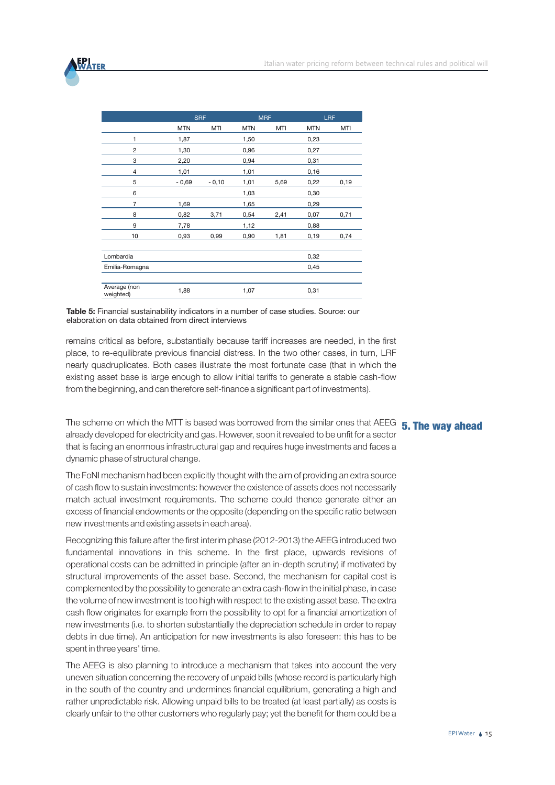

|                           | <b>SRF</b> |         | <b>MRF</b> |      | <b>LRF</b> |       |
|---------------------------|------------|---------|------------|------|------------|-------|
|                           | <b>MTN</b> | MTI     | <b>MTN</b> | MTI  | <b>MTN</b> | MTI   |
| 1                         | 1,87       |         | 1,50       |      | 0,23       |       |
| $\overline{2}$            | 1,30       |         | 0,96       |      | 0,27       |       |
| 3                         | 2,20       |         | 0,94       |      | 0,31       |       |
| 4                         | 1,01       |         | 1,01       |      | 0,16       |       |
| 5                         | $-0,69$    | $-0,10$ | 1,01       | 5,69 | 0,22       | 0, 19 |
| 6                         |            |         | 1,03       |      | 0,30       |       |
| 7                         | 1,69       |         | 1,65       |      | 0,29       |       |
| 8                         | 0,82       | 3,71    | 0,54       | 2,41 | 0,07       | 0,71  |
| 9                         | 7,78       |         | 1,12       |      | 0,88       |       |
| 10                        | 0,93       | 0,99    | 0,90       | 1,81 | 0, 19      | 0,74  |
| Lombardia                 |            |         |            |      | 0,32       |       |
| Emilia-Romagna            |            |         |            |      | 0,45       |       |
| Average (non<br>weighted) | 1,88       |         | 1,07       |      | 0,31       |       |

**Table 5:** Financial sustainability indicators in a number of case studies. Source: our elaboration on data obtained from direct interviews

remains critical as before, substantially because tariff increases are needed, in the first place, to re-equilibrate previous financial distress. In the two other cases, in turn, LRF nearly quadruplicates. Both cases illustrate the most fortunate case (that in which the existing asset base is large enough to allow initial tariffs to generate a stable cash-flow from the beginning, and can therefore self-finance a significant part of investments).

The scheme on which the MTT is based was borrowed from the similar ones that AEEG **5. The way ahead** already developed for electricity and gas. However, soon it revealed to be unfit for a sector that is facing an enormous infrastructural gap and requires huge investments and faces a dynamic phase of structural change.

The FoNI mechanism had been explicitly thought with the aim of providing an extra source of cash flow to sustain investments: however the existence of assets does not necessarily match actual investment requirements. The scheme could thence generate either an excess of financial endowments or the opposite (depending on the specific ratio between new investments and existing assets in each area).

Recognizing this failure after the first interim phase (2012-2013) the AEEG introduced two fundamental innovations in this scheme. In the first place, upwards revisions of operational costs can be admitted in principle (after an in-depth scrutiny) if motivated by structural improvements of the asset base. Second, the mechanism for capital cost is complemented by the possibility to generate an extra cash-flow in the initial phase, in case the volume of new investment is too high with respect to the existing asset base. The extra cash flow originates for example from the possibility to opt for a financial amortization of new investments (i.e. to shorten substantially the depreciation schedule in order to repay debts in due time). An anticipation for new investments is also foreseen: this has to be spent in three years' time.

The AEEG is also planning to introduce a mechanism that takes into account the very uneven situation concerning the recovery of unpaid bills (whose record is particularly high in the south of the country and undermines financial equilibrium, generating a high and rather unpredictable risk. Allowing unpaid bills to be treated (at least partially) as costs is clearly unfair to the other customers who regularly pay; yet the benefit for them could be a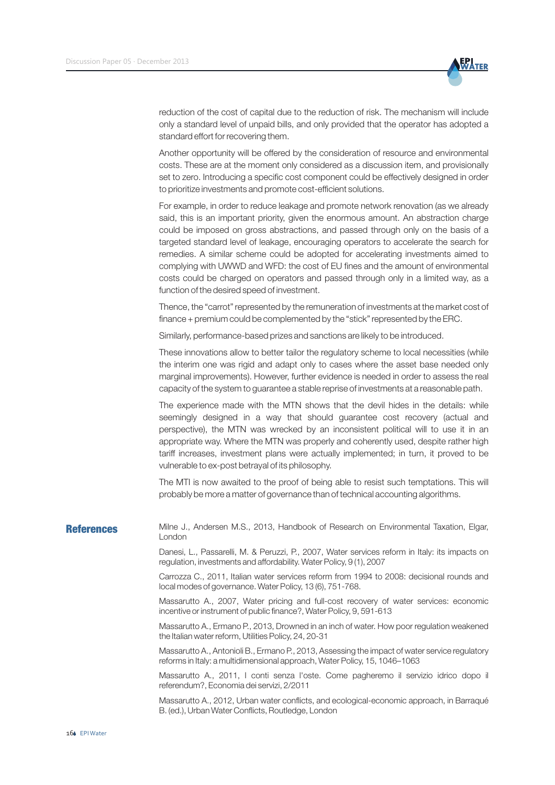

reduction of the cost of capital due to the reduction of risk. The mechanism will include only a standard level of unpaid bills, and only provided that the operator has adopted a standard effort for recovering them.

Another opportunity will be offered by the consideration of resource and environmental costs. These are at the moment only considered as a discussion item, and provisionally set to zero. Introducing a specific cost component could be effectively designed in order to prioritize investments and promote cost-efficient solutions.

For example, in order to reduce leakage and promote network renovation (as we already said, this is an important priority, given the enormous amount. An abstraction charge could be imposed on gross abstractions, and passed through only on the basis of a targeted standard level of leakage, encouraging operators to accelerate the search for remedies. A similar scheme could be adopted for accelerating investments aimed to complying with UWWD and WFD: the cost of EU fines and the amount of environmental costs could be charged on operators and passed through only in a limited way, as a function of the desired speed of investment.

Thence, the "carrot" represented by the remuneration of investments at the market cost of finance + premium could be complemented by the "stick" represented by the ERC.

Similarly, performance-based prizes and sanctions are likely to be introduced.

These innovations allow to better tailor the regulatory scheme to local necessities (while the interim one was rigid and adapt only to cases where the asset base needed only marginal improvements). However, further evidence is needed in order to assess the real capacity of the system to guarantee a stable reprise of investments at a reasonable path.

The experience made with the MTN shows that the devil hides in the details: while seemingly designed in a way that should guarantee cost recovery (actual and perspective), the MTN was wrecked by an inconsistent political will to use it in an appropriate way. Where the MTN was properly and coherently used, despite rather high tariff increases, investment plans were actually implemented; in turn, it proved to be vulnerable to ex-post betrayal of its philosophy.

The MTI is now awaited to the proof of being able to resist such temptations. This will probably be more a matter of governance than of technical accounting algorithms.

#### Milne J., Andersen M.S., 2013, Handbook of Research on Environmental Taxation, Elgar, London **References**

Danesi, L., Passarelli, M. & Peruzzi, P., 2007, Water services reform in Italy: its impacts on regulation, investments and affordability. Water Policy, 9 (1), 2007

Carrozza C., 2011, Italian water services reform from 1994 to 2008: decisional rounds and local modes of governance. Water Policy, 13 (6), 751-768.

Massarutto A., 2007, Water pricing and full-cost recovery of water services: economic incentive or instrument of public finance?, Water Policy, 9, 591-613

Massarutto A., Ermano P., 2013, Drowned in an inch of water. How poor regulation weakened the Italian water reform, Utilities Policy, 24, 20-31

Massarutto A., Antonioli B., Ermano P., 2013, Assessing the impact of water service regulatory reforms in Italy: a multidimensional approach, Water Policy, 15, 1046–1063

Massarutto A., 2011, I conti senza l'oste. Come pagheremo il servizio idrico dopo il referendum?, Economia dei servizi, 2/2011

Massarutto A., 2012, Urban water conflicts, and ecological-economic approach, in Barraqué B. (ed.), Urban Water Conflicts, Routledge, London